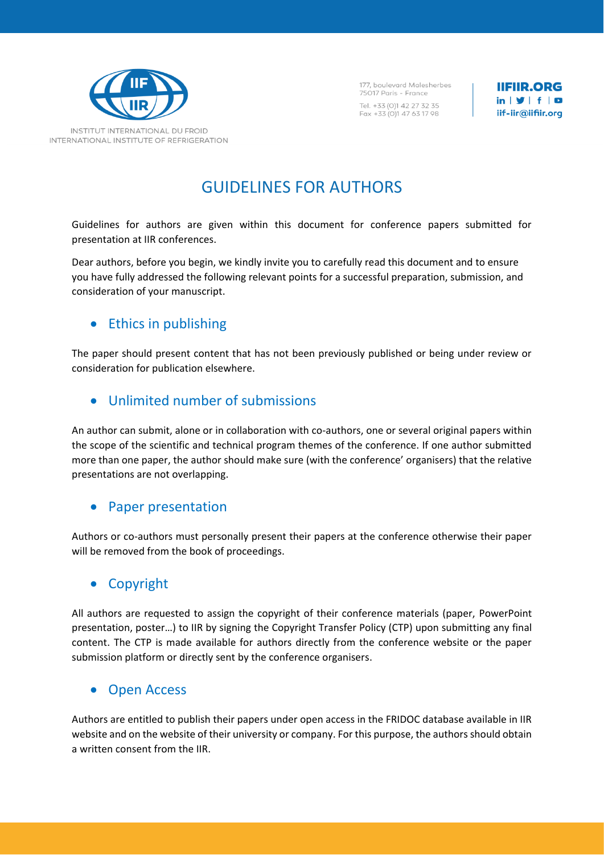

177, boulevard Malesherbes 75017 Paris - France Tel. +33 (0)1 42 27 32 35 Fax +33 (0)1 47 63 17 98

**IIFIIR.ORG**  $in \mathcal{Y}$  f  $\Box$ iif-iir@iifiir.org

# GUIDELINES FOR AUTHORS

Guidelines for authors are given within this document for conference papers submitted for presentation at IIR conferences.

Dear authors, before you begin, we kindly invite you to carefully read this document and to ensure you have fully addressed the following relevant points for a successful preparation, submission, and consideration of your manuscript.

# • Ethics in publishing

The paper should present content that has not been previously published or being under review or consideration for publication elsewhere.

# • Unlimited number of submissions

An author can submit, alone or in collaboration with co-authors, one or several original papers within the scope of the scientific and technical program themes of the conference. If one author submitted more than one paper, the author should make sure (with the conference' organisers) that the relative presentations are not overlapping.

### • Paper presentation

Authors or co-authors must personally present their papers at the conference otherwise their paper will be removed from the book of proceedings.

# • Copyright

All authors are requested to assign the copyright of their conference materials (paper, PowerPoint presentation, poster…) to IIR by signing the Copyright Transfer Policy (CTP) upon submitting any final content. The CTP is made available for authors directly from the conference website or the paper submission platform or directly sent by the conference organisers.

### • Open Access

Authors are entitled to publish their papers under open access in the FRIDOC database available in IIR website and on the website of their university or company. For this purpose, the authors should obtain a written consent from the IIR.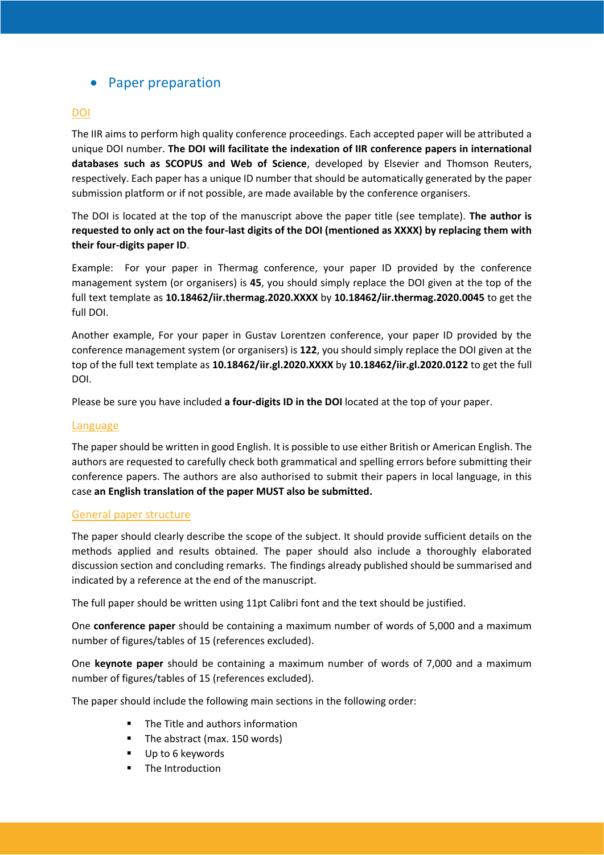# • Paper preparation

### **DOI**

The IIR aims to perform high quality conference proceedings. Each accepted paper will be attributed a unique DOI number. **The DOI will facilitate the indexation of IIR conference papers in international databases such as SCOPUS and Web of Science**, developed by Elsevier and Thomson Reuters, respectively. Each paper has a unique ID number that should be automatically generated by the paper submission platform or if not possible, are made available by the conference organisers.

The DOI is located at the top of the manuscript above the paper title (see template). **The author is requested to only act on the four-last digits of the DOI (mentioned as XXXX) by replacing them with their four-digits paper ID**.

Example: For your paper in Thermag conference, your paper ID provided by the conference management system (or organisers) is **45**, you should simply replace the DOI given at the top of the full text template as **10.18462/iir.thermag.2020.XXXX** by **10.18462/iir.thermag.2020.0045** to get the full DOI.

Another example, For your paper in Gustav Lorentzen conference, your paper ID provided by the conference management system (or organisers) is **122**, you should simply replace the DOI given at the top of the full text template as **10.18462/iir.gl.2020.XXXX** by **10.18462/iir.gl.2020.0122** to get the full DOI.

Please be sure you have included **a four-digits ID in the DOI** located at the top of your paper.

#### Language

The paper should be written in good English. It is possible to use either British or American English. The authors are requested to carefully check both grammatical and spelling errors before submitting their conference papers. The authors are also authorised to submit their papers in local language, in this case **an English translation of the paper MUST also be submitted.** 

#### General paper structure

The paper should clearly describe the scope of the subject. It should provide sufficient details on the methods applied and results obtained. The paper should also include a thoroughly elaborated discussion section and concluding remarks. The findings already published should be summarised and indicated by a reference at the end of the manuscript.

The full paper should be written using 11pt Calibri font and the text should be justified.

One **conference paper** should be containing a maximum number of words of 5,000 and a maximum number of figures/tables of 15 (references excluded).

One **keynote paper** should be containing a maximum number of words of 7,000 and a maximum number of figures/tables of 15 (references excluded).

The paper should include the following main sections in the following order:

- The Title and authors information
- The abstract (max. 150 words)
- Up to 6 keywords
- The Introduction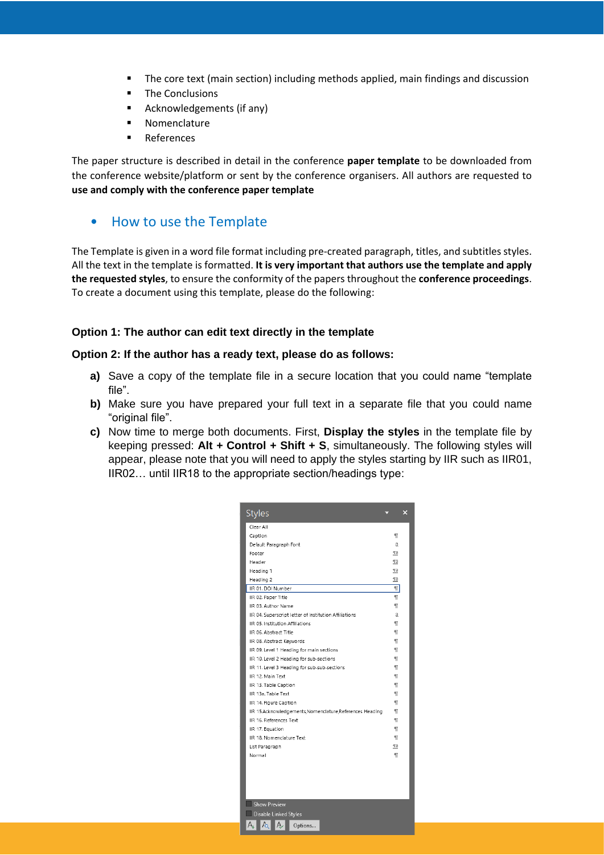- The core text (main section) including methods applied, main findings and discussion
- The Conclusions
- Acknowledgements (if any)
- Nomenclature
- **References**

The paper structure is described in detail in the conference **paper template** to be downloaded from the conference website/platform or sent by the conference organisers. All authors are requested to **use and comply with the conference paper template**

### • How to use the Template

The Template is given in a word file format including pre-created paragraph, titles, and subtitles styles. All the text in the template is formatted. **It is very important that authors use the template and apply the requested styles**, to ensure the conformity of the papers throughout the **conference proceedings**. To create a document using this template, please do the following:

### **Option 1: The author can edit text directly in the template**

#### **Option 2: If the author has a ready text, please do as follows:**

- **a)** Save a copy of the template file in a secure location that you could name "template file".
- **b)** Make sure you have prepared your full text in a separate file that you could name "original file".
- **c)** Now time to merge both documents. First, **Display the styles** in the template file by keeping pressed: **Alt + Control + Shift + S**, simultaneously. The following styles will appear, please note that you will need to apply the styles starting by IIR such as IIR01, IIR02… until IIR18 to the appropriate section/headings type:

| <b>Styles</b>                                             |      | × |
|-----------------------------------------------------------|------|---|
| Clear All                                                 |      |   |
| Caption                                                   | $\P$ |   |
| Default Paragraph Font                                    | a    |   |
| Footer                                                    | па   |   |
| Header                                                    | Па   |   |
| Heading 1                                                 | па   |   |
| Heading 2                                                 | па   |   |
| IIR 01. DOI Number                                        | πI   |   |
| IIR 02. Paper Title                                       | T    |   |
| IIR 03. Author Name                                       | П    |   |
| IIR 04. Superscript letter of Institution Affiliations    | a    |   |
| IIR 05. Institution Affiliations                          | П    |   |
| IIR 06. Abstract Title                                    | П    |   |
| IIR 08. Abstract Keywords                                 | П    |   |
| IIR 09. Level 1 Heading for main sections                 | П    |   |
| IIR 10. Level 2 Heading for sub-sections                  | П    |   |
| IIR 11. Level 3 Heading for sub-sub-sections              | П    |   |
| IIR 12. Main Text                                         | П    |   |
| IIR 13. Table Caption                                     | П    |   |
| IIR 13a. Table Text                                       | П    |   |
| IIR 14. Figure Caption                                    | П    |   |
| IIR 15.Acknowledgements, Nomenclature, References Heading | T    |   |
| IIR 16. References Text                                   | T    |   |
| IIR 17. Equation                                          | T    |   |
| IIR 18. Nomenclature Text                                 | T    |   |
| List Paragraph                                            | та   |   |
| Normal                                                    | T    |   |
|                                                           |      |   |
|                                                           |      |   |
|                                                           |      |   |
|                                                           |      |   |
|                                                           |      |   |
| <b>Show Preview</b>                                       |      |   |
| Disable Linked Styles                                     |      |   |
| $A_{+}$<br>$f_{\Omega}$<br>A<br>Options                   |      |   |